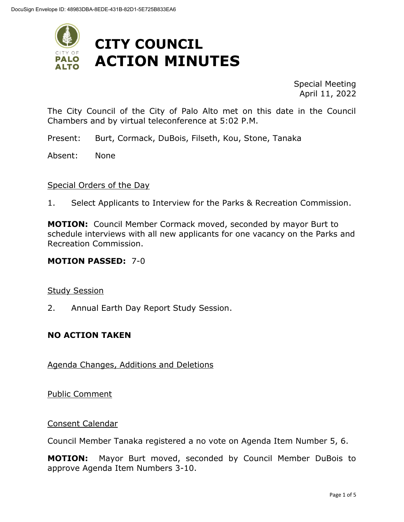

Special Meeting April 11, 2022

The City Council of the City of Palo Alto met on this date in the Council Chambers and by virtual teleconference at 5:02 P.M.

Present: Burt, Cormack, DuBois, Filseth, Kou, Stone, Tanaka

Absent: None

#### Special Orders of the Day

1. Select Applicants to Interview for the Parks & Recreation Commission.

**MOTION:** Council Member Cormack moved, seconded by mayor Burt to schedule interviews with all new applicants for one vacancy on the Parks and Recreation Commission.

#### **MOTION PASSED:** 7-0

#### Study Session

2. Annual Earth Day Report Study Session.

#### **NO ACTION TAKEN**

#### Agenda Changes, Additions and Deletions

Public Comment

Consent Calendar

Council Member Tanaka registered a no vote on Agenda Item Number 5, 6.

**MOTION:** Mayor Burt moved, seconded by Council Member DuBois to approve Agenda Item Numbers 3-10.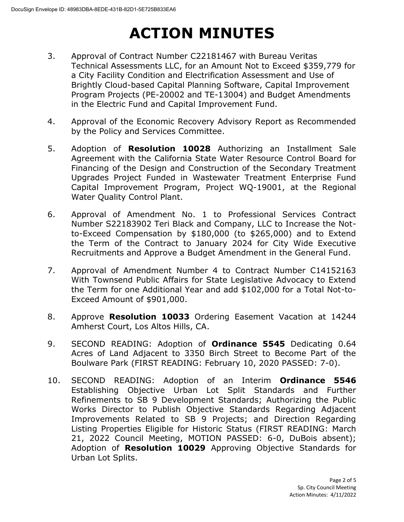- 3. Approval of Contract Number C22181467 with Bureau Veritas Technical Assessments LLC, for an Amount Not to Exceed \$359,779 for a City Facility Condition and Electrification Assessment and Use of Brightly Cloud-based Capital Planning Software, Capital Improvement Program Projects (PE-20002 and TE-13004) and Budget Amendments in the Electric Fund and Capital Improvement Fund.
- 4. Approval of the Economic Recovery Advisory Report as Recommended by the Policy and Services Committee.
- 5. Adoption of **Resolution 10028** Authorizing an Installment Sale Agreement with the California State Water Resource Control Board for Financing of the Design and Construction of the Secondary Treatment Upgrades Project Funded in Wastewater Treatment Enterprise Fund Capital Improvement Program, Project WQ-19001, at the Regional Water Quality Control Plant.
- 6. Approval of Amendment No. 1 to Professional Services Contract Number S22183902 Teri Black and Company, LLC to Increase the Notto-Exceed Compensation by \$180,000 (to \$265,000) and to Extend the Term of the Contract to January 2024 for City Wide Executive Recruitments and Approve a Budget Amendment in the General Fund.
- 7. Approval of Amendment Number 4 to Contract Number C14152163 With Townsend Public Affairs for State Legislative Advocacy to Extend the Term for one Additional Year and add \$102,000 for a Total Not-to-Exceed Amount of \$901,000.
- 8. Approve **Resolution 10033** Ordering Easement Vacation at 14244 Amherst Court, Los Altos Hills, CA.
- 9. SECOND READING: Adoption of **Ordinance 5545** Dedicating 0.64 Acres of Land Adjacent to 3350 Birch Street to Become Part of the Boulware Park (FIRST READING: February 10, 2020 PASSED: 7-0).
- 10. SECOND READING: Adoption of an Interim **Ordinance 5546** Establishing Objective Urban Lot Split Standards and Further Refinements to SB 9 Development Standards; Authorizing the Public Works Director to Publish Objective Standards Regarding Adjacent Improvements Related to SB 9 Projects; and Direction Regarding Listing Properties Eligible for Historic Status (FIRST READING: March 21, 2022 Council Meeting, MOTION PASSED: 6-0, DuBois absent); Adoption of **Resolution 10029** Approving Objective Standards for Urban Lot Splits.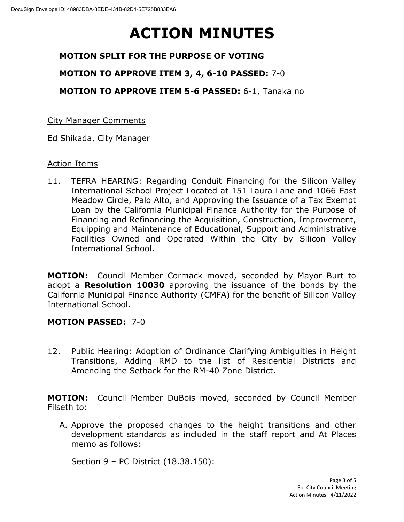## **MOTION SPLIT FOR THE PURPOSE OF VOTING**

### **MOTION TO APPROVE ITEM 3, 4, 6-10 PASSED:** 7-0

**MOTION TO APPROVE ITEM 5-6 PASSED:** 6-1, Tanaka no

### City Manager Comments

Ed Shikada, City Manager

### Action Items

11. TEFRA HEARING: Regarding Conduit Financing for the Silicon Valley International School Project Located at 151 Laura Lane and 1066 East Meadow Circle, Palo Alto, and Approving the Issuance of a Tax Exempt Loan by the California Municipal Finance Authority for the Purpose of Financing and Refinancing the Acquisition, Construction, Improvement, Equipping and Maintenance of Educational, Support and Administrative Facilities Owned and Operated Within the City by Silicon Valley International School.

**MOTION:** Council Member Cormack moved, seconded by Mayor Burt to adopt a **Resolution 10030** approving the issuance of the bonds by the California Municipal Finance Authority (CMFA) for the benefit of Silicon Valley International School.

### **MOTION PASSED:** 7-0

12. Public Hearing: Adoption of Ordinance Clarifying Ambiguities in Height Transitions, Adding RMD to the list of Residential Districts and Amending the Setback for the RM-40 Zone District.

**MOTION:** Council Member DuBois moved, seconded by Council Member Filseth to:

A. Approve the proposed changes to the height transitions and other development standards as included in the staff report and At Places memo as follows:

Section 9 – PC District (18.38.150):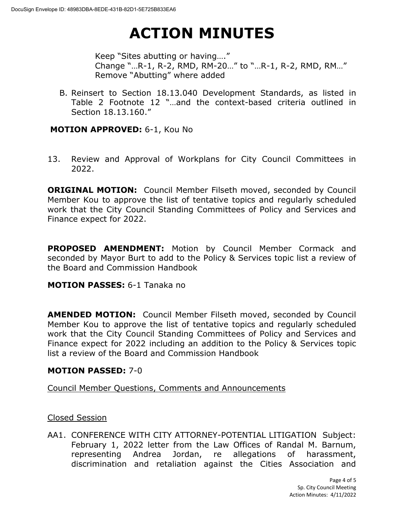Keep "Sites abutting or having…." Change "…R-1, R-2, RMD, RM-20…" to "…R-1, R-2, RMD, RM…" Remove "Abutting" where added

B. Reinsert to Section 18.13.040 Development Standards, as listed in Table 2 Footnote 12 "…and the context-based criteria outlined in Section 18.13.160."

### **MOTION APPROVED:** 6-1, Kou No

13. Review and Approval of Workplans for City Council Committees in 2022.

**ORIGINAL MOTION:** Council Member Filseth moved, seconded by Council Member Kou to approve the list of tentative topics and regularly scheduled work that the City Council Standing Committees of Policy and Services and Finance expect for 2022.

**PROPOSED AMENDMENT:** Motion by Council Member Cormack and seconded by Mayor Burt to add to the Policy & Services topic list a review of the Board and Commission Handbook

### **MOTION PASSES:** 6-1 Tanaka no

**AMENDED MOTION:** Council Member Filseth moved, seconded by Council Member Kou to approve the list of tentative topics and regularly scheduled work that the City Council Standing Committees of Policy and Services and Finance expect for 2022 including an addition to the Policy & Services topic list a review of the Board and Commission Handbook

### **MOTION PASSED:** 7-0

Council Member Questions, Comments and Announcements

#### Closed Session

AA1. CONFERENCE WITH CITY ATTORNEY-POTENTIAL LITIGATION Subject: February 1, 2022 letter from the Law Offices of Randal M. Barnum, representing Andrea Jordan, re allegations of harassment, discrimination and retaliation against the Cities Association and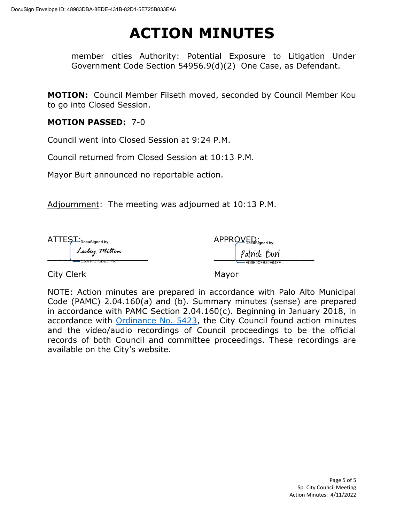member cities Authority: Potential Exposure to Litigation Under Government Code Section 54956.9(d)(2) One Case, as Defendant.

**MOTION:** Council Member Filseth moved, seconded by Council Member Kou to go into Closed Session.

### **MOTION PASSED:** 7-0

Council went into Closed Session at 9:24 P.M.

Council returned from Closed Session at 10:13 P.M.

Mayor Burt announced no reportable action.

Adjournment: The meeting was adjourned at 10:13 P.M.

| $L \rightarrow$ DocuSigned by:                      | $APPROLEpos is igned by:$ |  |
|-----------------------------------------------------|---------------------------|--|
| Lesley Milton<br>ECO1010E0DD01E1<br>=56491CF3DB34FA | Patrick Burt              |  |
|                                                     | ED9E9CFB89E64FF           |  |

City Clerk Mayor

NOTE: Action minutes are prepared in accordance with Palo Alto Municipal Code (PAMC) 2.04.160(a) and (b). Summary minutes (sense) are prepared in accordance with PAMC Section 2.04.160(c). Beginning in January 2018, in accordance with [Ordinance No. 5423,](https://www.cityofpaloalto.org/files/assets/public/city-clerk/ordinances/ordinances-1909-to-present/ordinances-by-number/ord-5423.pdf) the City Council found action minutes and the video/audio recordings of Council proceedings to be the official records of both Council and committee proceedings. These recordings are available on the City's website.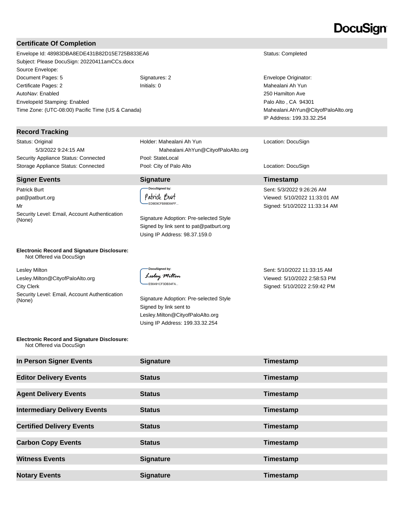# DocuSian

#### **Certificate Of Completion**

Envelope Id: 48983DBA8EDE431B82D15E725B833EA6 Status: Completed Subject: Please DocuSign: 20220411amCCs.docx Source Envelope: Document Pages: 5 Signatures: 2 Signatures: 2 Signatures: 2 Envelope Originator: Certificate Pages: 2 Initials: 0 Mahealani Ah Yun AutoNav: Enabled EnvelopeId Stamping: Enabled Time Zone: (UTC-08:00) Pacific Time (US & Canada)

#### **Record Tracking**

Status: Original 5/3/2022 9:24:15 AM Security Appliance Status: Connected Pool: StateLocal

#### **Signer Events Signature Timestamp**

Patrick Burt pat@patburt.org Mr Security Level: Email, Account Authentication (None) Signature Adoption: Pre-selected Style

### Holder: Mahealani Ah Yun Mahealani.AhYun@CityofPaloAlto.org Storage Appliance Status: Connected **Pool: City of Palo Alto** Location: DocuSign Location: DocuSign

#### .<br>DocuSigned by: Patrick Burt ED9E9CFB89E64FF...

Signed by link sent to pat@patburt.org Using IP Address: 98.37.159.0

250 Hamilton Ave Palo Alto , CA 94301 Mahealani.AhYun@CityofPaloAlto.org IP Address: 199.33.32.254

#### Location: DocuSign

Sent: 5/3/2022 9:26:26 AM Viewed: 5/10/2022 11:33:01 AM Signed: 5/10/2022 11:33:14 AM

**Electronic Record and Signature Disclosure:**  Not Offered via DocuSign

Lesley Milton Lesley.Milton@CityofPaloAlto.org City Clerk Security Level: Email, Account Authentication Signature Adoption: Pre-selected Style (None)

**DocuSianed by:** Lesley Milton E56491CF3DB34FA...

Signed by link sent to Lesley.Milton@CityofPaloAlto.org Using IP Address: 199.33.32.254

Sent: 5/10/2022 11:33:15 AM Viewed: 5/10/2022 2:58:53 PM Signed: 5/10/2022 2:59:42 PM

#### **Electronic Record and Signature Disclosure:**  Not Offered via DocuSign

| In Person Signer Events             | <b>Signature</b> | Timestamp |
|-------------------------------------|------------------|-----------|
| <b>Editor Delivery Events</b>       | <b>Status</b>    | Timestamp |
| <b>Agent Delivery Events</b>        | <b>Status</b>    | Timestamp |
| <b>Intermediary Delivery Events</b> | <b>Status</b>    | Timestamp |
| <b>Certified Delivery Events</b>    | <b>Status</b>    | Timestamp |
| <b>Carbon Copy Events</b>           | <b>Status</b>    | Timestamp |
| <b>Witness Events</b>               | <b>Signature</b> | Timestamp |
| <b>Notary Events</b>                | <b>Signature</b> | Timestamp |